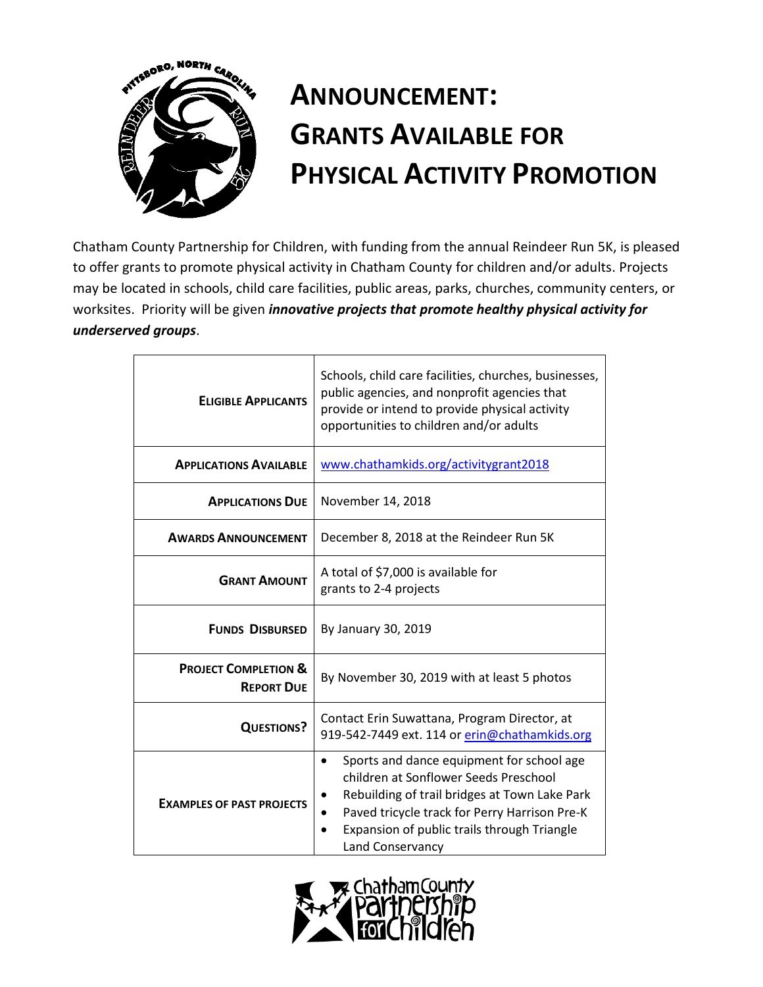

# **ANNOUNCEMENT: GRANTS AVAILABLE FOR PHYSICAL ACTIVITY PROMOTION**

Chatham County Partnership for Children, with funding from the annual Reindeer Run 5K, is pleased to offer grants to promote physical activity in Chatham County for children and/or adults. Projects may be located in schools, child care facilities, public areas, parks, churches, community centers, or worksites. Priority will be given *innovative projects that promote healthy physical activity for underserved groups*.

| <b>ELIGIBLE APPLICANTS</b>                           | Schools, child care facilities, churches, businesses,<br>public agencies, and nonprofit agencies that<br>provide or intend to provide physical activity<br>opportunities to children and/or adults                                                                   |  |  |
|------------------------------------------------------|----------------------------------------------------------------------------------------------------------------------------------------------------------------------------------------------------------------------------------------------------------------------|--|--|
| <b>APPLICATIONS AVAILABLE</b>                        | www.chathamkids.org/activitygrant2018                                                                                                                                                                                                                                |  |  |
| <b>APPLICATIONS DUE</b>                              | November 14, 2018                                                                                                                                                                                                                                                    |  |  |
| <b>AWARDS ANNOUNCEMENT</b>                           | December 8, 2018 at the Reindeer Run 5K                                                                                                                                                                                                                              |  |  |
| <b>GRANT AMOUNT</b>                                  | A total of \$7,000 is available for<br>grants to 2-4 projects                                                                                                                                                                                                        |  |  |
| <b>FUNDS DISBURSED</b>                               | By January 30, 2019                                                                                                                                                                                                                                                  |  |  |
| <b>PROJECT COMPLETION &amp;</b><br><b>REPORT DUE</b> | By November 30, 2019 with at least 5 photos                                                                                                                                                                                                                          |  |  |
| <b>QUESTIONS?</b>                                    | Contact Erin Suwattana, Program Director, at<br>919-542-7449 ext. 114 or erin@chathamkids.org                                                                                                                                                                        |  |  |
| <b>EXAMPLES OF PAST PROJECTS</b>                     | Sports and dance equipment for school age<br>$\bullet$<br>children at Sonflower Seeds Preschool<br>Rebuilding of trail bridges at Town Lake Park<br>Paved tricycle track for Perry Harrison Pre-K<br>Expansion of public trails through Triangle<br>Land Conservancy |  |  |

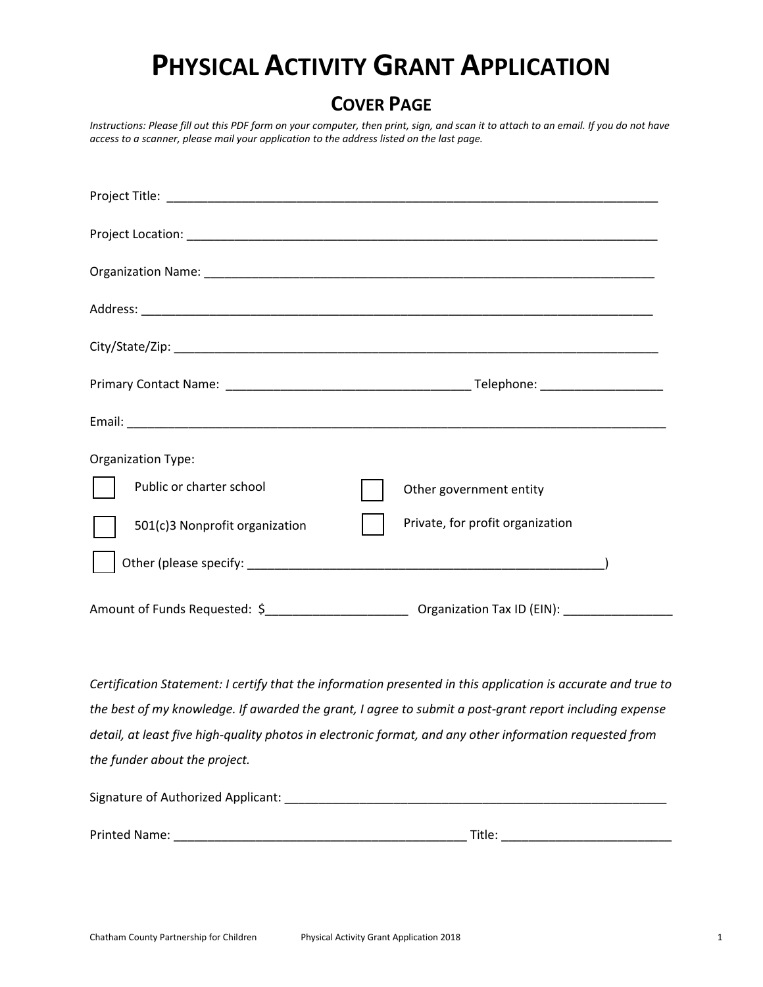## **PHYSICAL ACTIVITY GRANT APPLICATION**

### **COVER PAGE**

*Instructions: Please fill out this PDF form on your computer, then print, sign, and scan it to attach to an email. If you do not have access to a scanner, please mail your application to the address listed on the last page.*

| Organization Type:             |                                  |
|--------------------------------|----------------------------------|
| Public or charter school       | Other government entity          |
| 501(c)3 Nonprofit organization | Private, for profit organization |
|                                |                                  |
|                                |                                  |

*Certification Statement: I certify that the information presented in this application is accurate and true to the best of my knowledge. If awarded the grant, I agree to submit a post-grant report including expense detail, at least five high-quality photos in electronic format, and any other information requested from the funder about the project.*

| Signature of Authorized Applicant: |        |  |  |  |
|------------------------------------|--------|--|--|--|
|                                    |        |  |  |  |
| Printed Name:                      | Title: |  |  |  |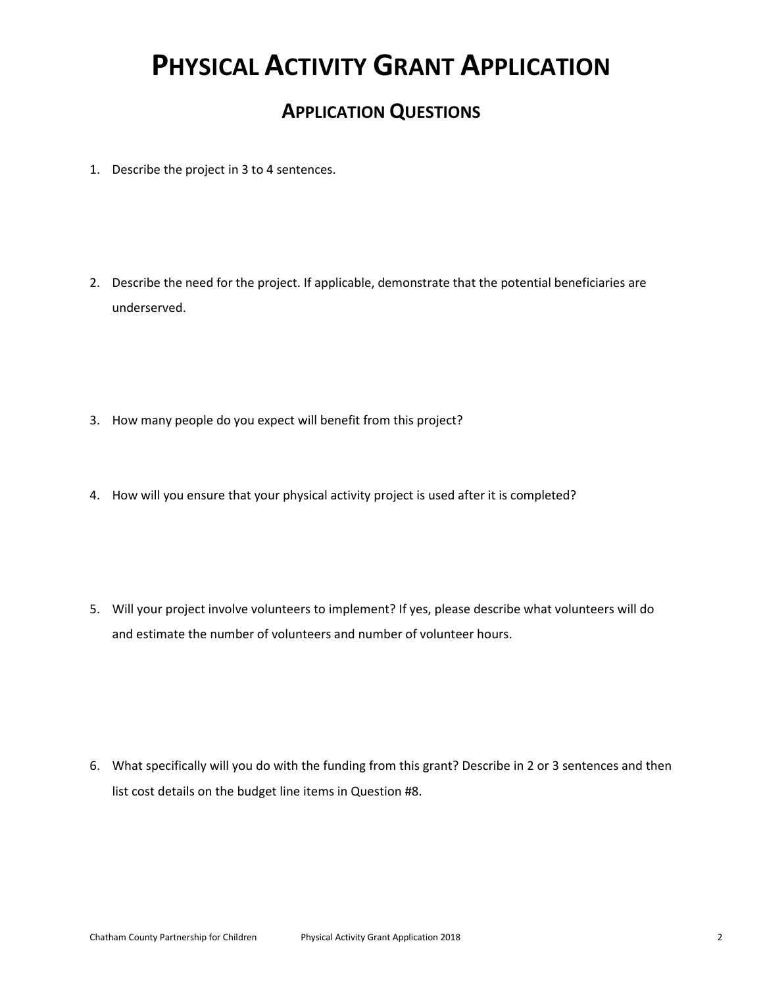## **PHYSICAL ACTIVITY GRANT APPLICATION**

### **APPLICATION QUESTIONS**

- 1. Describe the project in 3 to 4 sentences.
- 2. Describe the need for the project. If applicable, demonstrate that the potential beneficiaries are underserved.
- 3. How many people do you expect will benefit from this project?
- 4. How will you ensure that your physical activity project is used after it is completed?
- 5. Will your project involve volunteers to implement? If yes, please describe what volunteers will do and estimate the number of volunteers and number of volunteer hours.

6. What specifically will you do with the funding from this grant? Describe in 2 or 3 sentences and then list cost details on the budget line items in Question #8.